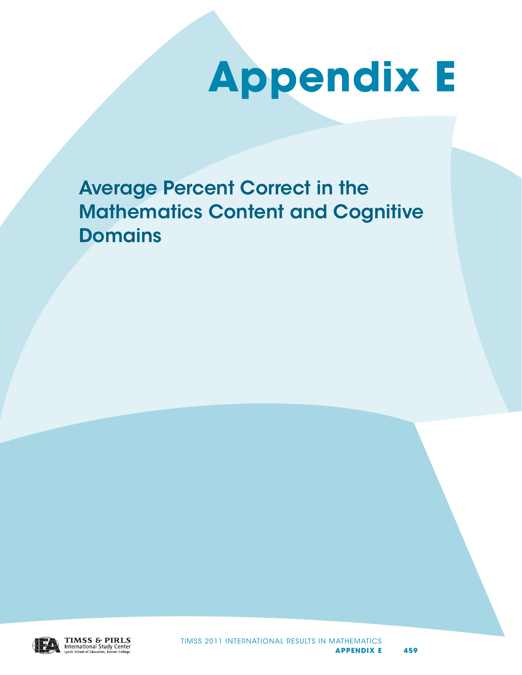## **Appendix E**

Average Percent Correct in the Mathematics Content and Cognitive Domains

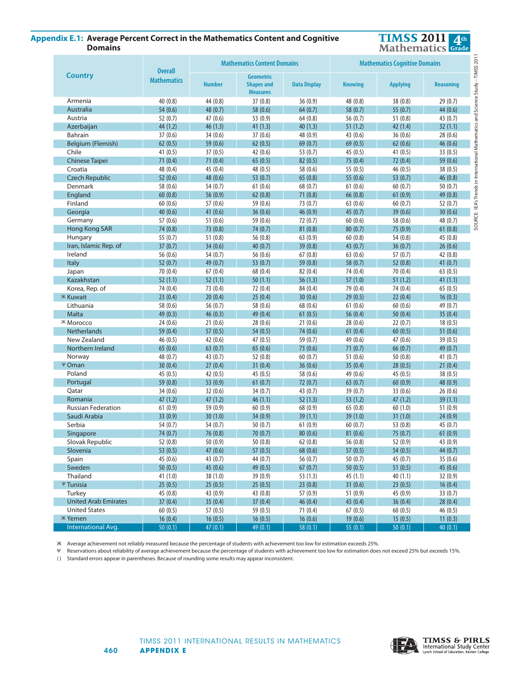## **Appendix E.1: Average Percent Correct in the Mathematics Appendix E.1: Average Percent Correct in the Mathematics Content and Cognitive Content and Cognitive Domains Domains**



| <b>Overall</b><br><b>Country</b><br><b>Geometric</b><br><b>Mathematics</b><br><b>Number</b><br><b>Shapes and</b><br><b>Data Display</b><br><b>Knowing</b><br><b>Applying</b><br><b>Reasoning</b><br><b>Measures</b><br>and Science<br>44 (0.8)<br>40(0.8)<br>37(0.8)<br>36(0.9)<br>48 (0.8)<br>38 (0.8)<br>29(0.7)<br>Armenia<br><b>Australia</b><br>54(0.6)<br>48 (0.7)<br>58(0.6)<br>64(0.7)<br>58(0.7)<br>55(0.7)<br>44(0.6)<br>47 (0.6)<br>56 (0.7)<br>52(0.7)<br>53 (0.9)<br>64(0.8)<br>51(0.8)<br>43(0.7)<br>Austria<br>Mathematics<br>44 (1.2)<br>46(1.3)<br>41(1.3)<br>51(1.2)<br>32(1.1)<br>Azerbaijan<br>40(1.3)<br>42(1.4)<br>Bahrain<br>37(0.6)<br>34(0.6)<br>37(0.6)<br>48 (0.9)<br>43 (0.6)<br>36(0.6)<br>28(0.6)<br>62(0.5)<br>59(0.6)<br>62(0.5)<br>69(0.7)<br>69(0.5)<br>62(0.6)<br>46(0.6)<br>Belgium (Flemish)<br>Chile<br>41(0.5)<br>37(0.5)<br>42(0.6)<br>53 $(0.7)$<br>45(0.5)<br>41 $(0.5)$<br>33(0.5)<br>in International<br><b>Chinese Taipei</b><br>71(0.4)<br>71(0.4)<br>65(0.5)<br>82(0.5)<br>75(0.4)<br>72(0.4)<br>59(0.6)<br>45 (0.4)<br>55 (0.5)<br>Croatia<br>48 (0.4)<br>48 (0.5)<br>58 (0.6)<br>46(0.5)<br>38(0.5)<br>52(0.6)<br>48 (0.6)<br>53 $(0.7)$<br>65(0.8)<br>55(0.6)<br>46(0.8)<br><b>Czech Republic</b><br>53 $(0.7)$<br>Denmark<br>58 (0.6)<br>54 (0.7)<br>61(0.6)<br>68(0.7)<br>61(0.6)<br>60(0.7)<br>50(0.7)<br>SOURCE: IEA's Trends<br>60(0.8)<br>56 $(0.9)$<br>62(0.8)<br>71(0.8)<br>66(0.8)<br>61(0.9)<br>49 (0.8)<br>England<br>Finland<br>60(0.6)<br>57(0.6)<br>59 (0.6)<br>73 (0.7)<br>63(0.6)<br>60(0.7)<br>52(0.7)<br>Georgia<br>40(0.6)<br>41 $(0.6)$<br>36(0.6)<br>46(0.9)<br>45(0.7)<br>39(0.6)<br>30(0.6)<br>51(0.6)<br>57(0.6)<br>59 (0.6)<br>72(0.7)<br>60(0.6)<br>58 (0.6)<br>48 (0.7)<br>Germany<br>74 (0.8)<br>73 (0.8)<br>74 (0.7)<br>81(0.8)<br>75 (0.9)<br>61(0.8)<br><b>Hong Kong SAR</b><br>80(0.7)<br>Hungary<br>55 (0.7)<br>51(0.8)<br>56 (0.8)<br>63(0.9)<br>60(0.8)<br>54 (0.8)<br>45(0.8)<br>Iran, Islamic Rep. of<br>37(0.7)<br>34(0.6)<br>40(0.7)<br>39(0.8)<br>43(0.7)<br>36(0.7)<br>26(0.6)<br>56 (0.6)<br>Ireland<br>54 (0.7)<br>56 (0.6)<br>67(0.8)<br>63(0.6)<br>57(0.7)<br>42(0.8)<br><b>Italy</b><br>52(0.7)<br>49 (0.7)<br>53(0.7)<br>59(0.8)<br>58(0.7)<br>52(0.8)<br>41(0.7)<br>70 (0.4)<br>63(0.5)<br>67(0.4)<br>68 (0.4)<br>82 (0.4)<br>74 (0.4)<br>70(0.4)<br>Japan<br>52(1.1)<br>52(1.1)<br>50(1.1)<br>57(1.0)<br>51(1.2)<br>41(1.1)<br>Kazakhstan<br>56(1.3)<br>Korea, Rep. of<br>74 (0.4)<br>73 (0.4)<br>72 (0.4)<br>84 (0.4)<br>79 (0.4)<br>74 (0.4)<br>65(0.5)<br><b><i>Ж</i></b> Kuwait<br>23(0.4)<br>20(0.4)<br>25(0.4)<br>30(0.6)<br>29(0.5)<br>22(0.4)<br>16(0.3)<br>Lithuania<br>58 (0.6)<br>56 (0.7)<br>58 (0.6)<br>68 (0.6)<br>61(0.6)<br>60(0.6)<br>49 (0.7)<br>Malta<br>49(0.3)<br>46(0.3)<br>49(0.4)<br>61(0.5)<br>56(0.4)<br>50(0.4)<br>35(0.4)<br>21(0.6)<br>21(0.6)<br>18(0.5)<br>24(0.6)<br>28(0.6)<br>28(0.6)<br>22(0.7)<br><b><i>Ж</i></b> Могоссо<br>59 (0.4)<br>57(0.5)<br>54(0.5)<br>74 (0.6)<br>51(0.6)<br><b>Netherlands</b><br>61(0.4)<br>60(0.5)<br>New Zealand<br>46 (0.5)<br>42(0.6)<br>47(0.5)<br>59 (0.7)<br>49 (0.6)<br>47 (0.6)<br>39(0.5)<br>65(0.6)<br>63(0.7)<br>65(0.6)<br>73(0.6)<br>71(0.7)<br>66(0.7)<br>49(0.7)<br>Northern Ireland<br>48 (0.7)<br>43(0.7)<br>52(0.8)<br>60(0.7)<br>51(0.6)<br>50(0.8)<br>41(0.7)<br>Norway<br>Ψ Oman<br>30(0.4)<br>27(0.4)<br>31(0.4)<br>36(0.6)<br>35(0.4)<br>28(0.5)<br>21(0.4)<br>42 (0.5)<br>38(0.5)<br>Poland<br>45(0.5)<br>45(0.5)<br>58 (0.6)<br>49 (0.6)<br>45(0.5)<br>53 (0.9)<br>61(0.7)<br>48 (0.9)<br>59 (0.8)<br>72(0.7)<br>63(0.7)<br>60(0.9)<br>Portugal<br>Qatar<br>34 (0.6)<br>32(0.6)<br>34(0.7)<br>43(0.7)<br>39(0.7)<br>33 (0.6)<br>26(0.6)<br>47(1.2)<br>47(1.2)<br>46(1.1)<br>52(1.3)<br>53(1.2)<br>47(1.2)<br>39(1.1)<br>Romania<br><b>Russian Federation</b><br>61(0.9)<br>59 (0.9)<br>60(0.9)<br>68 (0.9)<br>65 (0.8)<br>60(1.0)<br>51(0.9)<br>Saudi Arabia<br>33(0.9)<br>30(1.0)<br>34(0.9)<br>39(1.1)<br>39(1.0)<br>31(1.0)<br>24(0.9)<br>Serbia<br>54 (0.7)<br>54 (0.7)<br>50(0.7)<br>61(0.9)<br>60(0.7)<br>53 $(0.8)$<br>45(0.7)<br>81(0.6)<br>61(0.9)<br>74 (0.7)<br>76 (0.8)<br>70 (0.7)<br>80(0.6)<br>75 (0.7)<br>Singapore<br>Slovak Republic<br>52(0.8)<br>50(0.9)<br>50(0.8)<br>62(0.8)<br>56(0.8)<br>52(0.9)<br>43(0.9)<br>Slovenia<br>53(0.5)<br>47(0.6)<br>57(0.5)<br>68 (0.6)<br>57(0.5)<br>54(0.5)<br>44(0.7)<br>Spain<br>45(0.6)<br>43(0.7)<br>44(0.7)<br>56 $(0.7)$<br>50(0.7)<br>45(0.7)<br>35(0.6)<br>Sweden<br>50(0.5)<br>45(0.6)<br>49(0.5)<br>67(0.7)<br>50(0.5)<br>51(0.5)<br>45(0.6)<br>Thailand<br>41(1.0)<br>38(1.0)<br>39(0.9)<br>53(1.3)<br>45(1.1)<br>40(1.1)<br>32(0.9)<br>Ψ Tunisia<br>25(0.5)<br>25(0.5)<br>25(0.5)<br>23(0.8)<br>31(0.6)<br>23(0.5)<br>16(0.4)<br>Turkey<br>45(0.8)<br>43(0.9)<br>43(0.8)<br>57(0.9)<br>45(0.9)<br>33(0.7)<br>51(0.9)<br><b>United Arab Emirates</b><br>37(0.4)<br>35(0.4)<br>37(0.4)<br>46(0.4)<br>43(0.4)<br>36(0.4)<br>28(0.4)<br><b>United States</b><br>60(0.5)<br>57(0.5)<br>59(0.5)<br>71(0.4)<br>67(0.5)<br>60(0.5)<br>46(0.5)<br><b><i>W</i></b> Yemen<br>16(0.5)<br>16(0.6)<br>11(0.3)<br>16(0.4)<br>16(0.5)<br>19(0.6)<br>15(0.5)<br>International Avg.<br>50(0.1)<br>47(0.1)<br>49(0.1)<br>58(0.1)<br>55(0.1)<br>50(0.1)<br>40(0.1) |  | <b>Mathematics Content Domains</b> | Study-TIMSS 201<br><b>Mathematics Cognitive Domains</b> |  |  |  |
|---------------------------------------------------------------------------------------------------------------------------------------------------------------------------------------------------------------------------------------------------------------------------------------------------------------------------------------------------------------------------------------------------------------------------------------------------------------------------------------------------------------------------------------------------------------------------------------------------------------------------------------------------------------------------------------------------------------------------------------------------------------------------------------------------------------------------------------------------------------------------------------------------------------------------------------------------------------------------------------------------------------------------------------------------------------------------------------------------------------------------------------------------------------------------------------------------------------------------------------------------------------------------------------------------------------------------------------------------------------------------------------------------------------------------------------------------------------------------------------------------------------------------------------------------------------------------------------------------------------------------------------------------------------------------------------------------------------------------------------------------------------------------------------------------------------------------------------------------------------------------------------------------------------------------------------------------------------------------------------------------------------------------------------------------------------------------------------------------------------------------------------------------------------------------------------------------------------------------------------------------------------------------------------------------------------------------------------------------------------------------------------------------------------------------------------------------------------------------------------------------------------------------------------------------------------------------------------------------------------------------------------------------------------------------------------------------------------------------------------------------------------------------------------------------------------------------------------------------------------------------------------------------------------------------------------------------------------------------------------------------------------------------------------------------------------------------------------------------------------------------------------------------------------------------------------------------------------------------------------------------------------------------------------------------------------------------------------------------------------------------------------------------------------------------------------------------------------------------------------------------------------------------------------------------------------------------------------------------------------------------------------------------------------------------------------------------------------------------------------------------------------------------------------------------------------------------------------------------------------------------------------------------------------------------------------------------------------------------------------------------------------------------------------------------------------------------------------------------------------------------------------------------------------------------------------------------------------------------------------------------------------------------------------------------------------------------------------------------------------------------------------------------------------------------------------------------------------------------------------------------------------------------------------------------------------------------------------------------------------------------------------------------------------------------------------------------------------------------------------------------------------------------------------------------------------------------------------------------------------------------------------------------------------------------------------------------------------------------------------------------------------------------------------------------------------------------------------------------------------------------------------------------------------------------------------------------------------------------------------------------------------------------------------------------------------|--|------------------------------------|---------------------------------------------------------|--|--|--|
|                                                                                                                                                                                                                                                                                                                                                                                                                                                                                                                                                                                                                                                                                                                                                                                                                                                                                                                                                                                                                                                                                                                                                                                                                                                                                                                                                                                                                                                                                                                                                                                                                                                                                                                                                                                                                                                                                                                                                                                                                                                                                                                                                                                                                                                                                                                                                                                                                                                                                                                                                                                                                                                                                                                                                                                                                                                                                                                                                                                                                                                                                                                                                                                                                                                                                                                                                                                                                                                                                                                                                                                                                                                                                                                                                                                                                                                                                                                                                                                                                                                                                                                                                                                                                                                                                                                                                                                                                                                                                                                                                                                                                                                                                                                                                                                                                                                                                                                                                                                                                                                                                                                                                                                                                                                                                                               |  |                                    |                                                         |  |  |  |
|                                                                                                                                                                                                                                                                                                                                                                                                                                                                                                                                                                                                                                                                                                                                                                                                                                                                                                                                                                                                                                                                                                                                                                                                                                                                                                                                                                                                                                                                                                                                                                                                                                                                                                                                                                                                                                                                                                                                                                                                                                                                                                                                                                                                                                                                                                                                                                                                                                                                                                                                                                                                                                                                                                                                                                                                                                                                                                                                                                                                                                                                                                                                                                                                                                                                                                                                                                                                                                                                                                                                                                                                                                                                                                                                                                                                                                                                                                                                                                                                                                                                                                                                                                                                                                                                                                                                                                                                                                                                                                                                                                                                                                                                                                                                                                                                                                                                                                                                                                                                                                                                                                                                                                                                                                                                                                               |  |                                    |                                                         |  |  |  |
|                                                                                                                                                                                                                                                                                                                                                                                                                                                                                                                                                                                                                                                                                                                                                                                                                                                                                                                                                                                                                                                                                                                                                                                                                                                                                                                                                                                                                                                                                                                                                                                                                                                                                                                                                                                                                                                                                                                                                                                                                                                                                                                                                                                                                                                                                                                                                                                                                                                                                                                                                                                                                                                                                                                                                                                                                                                                                                                                                                                                                                                                                                                                                                                                                                                                                                                                                                                                                                                                                                                                                                                                                                                                                                                                                                                                                                                                                                                                                                                                                                                                                                                                                                                                                                                                                                                                                                                                                                                                                                                                                                                                                                                                                                                                                                                                                                                                                                                                                                                                                                                                                                                                                                                                                                                                                                               |  |                                    |                                                         |  |  |  |
|                                                                                                                                                                                                                                                                                                                                                                                                                                                                                                                                                                                                                                                                                                                                                                                                                                                                                                                                                                                                                                                                                                                                                                                                                                                                                                                                                                                                                                                                                                                                                                                                                                                                                                                                                                                                                                                                                                                                                                                                                                                                                                                                                                                                                                                                                                                                                                                                                                                                                                                                                                                                                                                                                                                                                                                                                                                                                                                                                                                                                                                                                                                                                                                                                                                                                                                                                                                                                                                                                                                                                                                                                                                                                                                                                                                                                                                                                                                                                                                                                                                                                                                                                                                                                                                                                                                                                                                                                                                                                                                                                                                                                                                                                                                                                                                                                                                                                                                                                                                                                                                                                                                                                                                                                                                                                                               |  |                                    |                                                         |  |  |  |
|                                                                                                                                                                                                                                                                                                                                                                                                                                                                                                                                                                                                                                                                                                                                                                                                                                                                                                                                                                                                                                                                                                                                                                                                                                                                                                                                                                                                                                                                                                                                                                                                                                                                                                                                                                                                                                                                                                                                                                                                                                                                                                                                                                                                                                                                                                                                                                                                                                                                                                                                                                                                                                                                                                                                                                                                                                                                                                                                                                                                                                                                                                                                                                                                                                                                                                                                                                                                                                                                                                                                                                                                                                                                                                                                                                                                                                                                                                                                                                                                                                                                                                                                                                                                                                                                                                                                                                                                                                                                                                                                                                                                                                                                                                                                                                                                                                                                                                                                                                                                                                                                                                                                                                                                                                                                                                               |  |                                    |                                                         |  |  |  |
|                                                                                                                                                                                                                                                                                                                                                                                                                                                                                                                                                                                                                                                                                                                                                                                                                                                                                                                                                                                                                                                                                                                                                                                                                                                                                                                                                                                                                                                                                                                                                                                                                                                                                                                                                                                                                                                                                                                                                                                                                                                                                                                                                                                                                                                                                                                                                                                                                                                                                                                                                                                                                                                                                                                                                                                                                                                                                                                                                                                                                                                                                                                                                                                                                                                                                                                                                                                                                                                                                                                                                                                                                                                                                                                                                                                                                                                                                                                                                                                                                                                                                                                                                                                                                                                                                                                                                                                                                                                                                                                                                                                                                                                                                                                                                                                                                                                                                                                                                                                                                                                                                                                                                                                                                                                                                                               |  |                                    |                                                         |  |  |  |
|                                                                                                                                                                                                                                                                                                                                                                                                                                                                                                                                                                                                                                                                                                                                                                                                                                                                                                                                                                                                                                                                                                                                                                                                                                                                                                                                                                                                                                                                                                                                                                                                                                                                                                                                                                                                                                                                                                                                                                                                                                                                                                                                                                                                                                                                                                                                                                                                                                                                                                                                                                                                                                                                                                                                                                                                                                                                                                                                                                                                                                                                                                                                                                                                                                                                                                                                                                                                                                                                                                                                                                                                                                                                                                                                                                                                                                                                                                                                                                                                                                                                                                                                                                                                                                                                                                                                                                                                                                                                                                                                                                                                                                                                                                                                                                                                                                                                                                                                                                                                                                                                                                                                                                                                                                                                                                               |  |                                    |                                                         |  |  |  |
|                                                                                                                                                                                                                                                                                                                                                                                                                                                                                                                                                                                                                                                                                                                                                                                                                                                                                                                                                                                                                                                                                                                                                                                                                                                                                                                                                                                                                                                                                                                                                                                                                                                                                                                                                                                                                                                                                                                                                                                                                                                                                                                                                                                                                                                                                                                                                                                                                                                                                                                                                                                                                                                                                                                                                                                                                                                                                                                                                                                                                                                                                                                                                                                                                                                                                                                                                                                                                                                                                                                                                                                                                                                                                                                                                                                                                                                                                                                                                                                                                                                                                                                                                                                                                                                                                                                                                                                                                                                                                                                                                                                                                                                                                                                                                                                                                                                                                                                                                                                                                                                                                                                                                                                                                                                                                                               |  |                                    |                                                         |  |  |  |
|                                                                                                                                                                                                                                                                                                                                                                                                                                                                                                                                                                                                                                                                                                                                                                                                                                                                                                                                                                                                                                                                                                                                                                                                                                                                                                                                                                                                                                                                                                                                                                                                                                                                                                                                                                                                                                                                                                                                                                                                                                                                                                                                                                                                                                                                                                                                                                                                                                                                                                                                                                                                                                                                                                                                                                                                                                                                                                                                                                                                                                                                                                                                                                                                                                                                                                                                                                                                                                                                                                                                                                                                                                                                                                                                                                                                                                                                                                                                                                                                                                                                                                                                                                                                                                                                                                                                                                                                                                                                                                                                                                                                                                                                                                                                                                                                                                                                                                                                                                                                                                                                                                                                                                                                                                                                                                               |  |                                    |                                                         |  |  |  |
|                                                                                                                                                                                                                                                                                                                                                                                                                                                                                                                                                                                                                                                                                                                                                                                                                                                                                                                                                                                                                                                                                                                                                                                                                                                                                                                                                                                                                                                                                                                                                                                                                                                                                                                                                                                                                                                                                                                                                                                                                                                                                                                                                                                                                                                                                                                                                                                                                                                                                                                                                                                                                                                                                                                                                                                                                                                                                                                                                                                                                                                                                                                                                                                                                                                                                                                                                                                                                                                                                                                                                                                                                                                                                                                                                                                                                                                                                                                                                                                                                                                                                                                                                                                                                                                                                                                                                                                                                                                                                                                                                                                                                                                                                                                                                                                                                                                                                                                                                                                                                                                                                                                                                                                                                                                                                                               |  |                                    |                                                         |  |  |  |
|                                                                                                                                                                                                                                                                                                                                                                                                                                                                                                                                                                                                                                                                                                                                                                                                                                                                                                                                                                                                                                                                                                                                                                                                                                                                                                                                                                                                                                                                                                                                                                                                                                                                                                                                                                                                                                                                                                                                                                                                                                                                                                                                                                                                                                                                                                                                                                                                                                                                                                                                                                                                                                                                                                                                                                                                                                                                                                                                                                                                                                                                                                                                                                                                                                                                                                                                                                                                                                                                                                                                                                                                                                                                                                                                                                                                                                                                                                                                                                                                                                                                                                                                                                                                                                                                                                                                                                                                                                                                                                                                                                                                                                                                                                                                                                                                                                                                                                                                                                                                                                                                                                                                                                                                                                                                                                               |  |                                    |                                                         |  |  |  |
|                                                                                                                                                                                                                                                                                                                                                                                                                                                                                                                                                                                                                                                                                                                                                                                                                                                                                                                                                                                                                                                                                                                                                                                                                                                                                                                                                                                                                                                                                                                                                                                                                                                                                                                                                                                                                                                                                                                                                                                                                                                                                                                                                                                                                                                                                                                                                                                                                                                                                                                                                                                                                                                                                                                                                                                                                                                                                                                                                                                                                                                                                                                                                                                                                                                                                                                                                                                                                                                                                                                                                                                                                                                                                                                                                                                                                                                                                                                                                                                                                                                                                                                                                                                                                                                                                                                                                                                                                                                                                                                                                                                                                                                                                                                                                                                                                                                                                                                                                                                                                                                                                                                                                                                                                                                                                                               |  |                                    |                                                         |  |  |  |
|                                                                                                                                                                                                                                                                                                                                                                                                                                                                                                                                                                                                                                                                                                                                                                                                                                                                                                                                                                                                                                                                                                                                                                                                                                                                                                                                                                                                                                                                                                                                                                                                                                                                                                                                                                                                                                                                                                                                                                                                                                                                                                                                                                                                                                                                                                                                                                                                                                                                                                                                                                                                                                                                                                                                                                                                                                                                                                                                                                                                                                                                                                                                                                                                                                                                                                                                                                                                                                                                                                                                                                                                                                                                                                                                                                                                                                                                                                                                                                                                                                                                                                                                                                                                                                                                                                                                                                                                                                                                                                                                                                                                                                                                                                                                                                                                                                                                                                                                                                                                                                                                                                                                                                                                                                                                                                               |  |                                    |                                                         |  |  |  |
|                                                                                                                                                                                                                                                                                                                                                                                                                                                                                                                                                                                                                                                                                                                                                                                                                                                                                                                                                                                                                                                                                                                                                                                                                                                                                                                                                                                                                                                                                                                                                                                                                                                                                                                                                                                                                                                                                                                                                                                                                                                                                                                                                                                                                                                                                                                                                                                                                                                                                                                                                                                                                                                                                                                                                                                                                                                                                                                                                                                                                                                                                                                                                                                                                                                                                                                                                                                                                                                                                                                                                                                                                                                                                                                                                                                                                                                                                                                                                                                                                                                                                                                                                                                                                                                                                                                                                                                                                                                                                                                                                                                                                                                                                                                                                                                                                                                                                                                                                                                                                                                                                                                                                                                                                                                                                                               |  |                                    |                                                         |  |  |  |
|                                                                                                                                                                                                                                                                                                                                                                                                                                                                                                                                                                                                                                                                                                                                                                                                                                                                                                                                                                                                                                                                                                                                                                                                                                                                                                                                                                                                                                                                                                                                                                                                                                                                                                                                                                                                                                                                                                                                                                                                                                                                                                                                                                                                                                                                                                                                                                                                                                                                                                                                                                                                                                                                                                                                                                                                                                                                                                                                                                                                                                                                                                                                                                                                                                                                                                                                                                                                                                                                                                                                                                                                                                                                                                                                                                                                                                                                                                                                                                                                                                                                                                                                                                                                                                                                                                                                                                                                                                                                                                                                                                                                                                                                                                                                                                                                                                                                                                                                                                                                                                                                                                                                                                                                                                                                                                               |  |                                    |                                                         |  |  |  |
|                                                                                                                                                                                                                                                                                                                                                                                                                                                                                                                                                                                                                                                                                                                                                                                                                                                                                                                                                                                                                                                                                                                                                                                                                                                                                                                                                                                                                                                                                                                                                                                                                                                                                                                                                                                                                                                                                                                                                                                                                                                                                                                                                                                                                                                                                                                                                                                                                                                                                                                                                                                                                                                                                                                                                                                                                                                                                                                                                                                                                                                                                                                                                                                                                                                                                                                                                                                                                                                                                                                                                                                                                                                                                                                                                                                                                                                                                                                                                                                                                                                                                                                                                                                                                                                                                                                                                                                                                                                                                                                                                                                                                                                                                                                                                                                                                                                                                                                                                                                                                                                                                                                                                                                                                                                                                                               |  |                                    |                                                         |  |  |  |
|                                                                                                                                                                                                                                                                                                                                                                                                                                                                                                                                                                                                                                                                                                                                                                                                                                                                                                                                                                                                                                                                                                                                                                                                                                                                                                                                                                                                                                                                                                                                                                                                                                                                                                                                                                                                                                                                                                                                                                                                                                                                                                                                                                                                                                                                                                                                                                                                                                                                                                                                                                                                                                                                                                                                                                                                                                                                                                                                                                                                                                                                                                                                                                                                                                                                                                                                                                                                                                                                                                                                                                                                                                                                                                                                                                                                                                                                                                                                                                                                                                                                                                                                                                                                                                                                                                                                                                                                                                                                                                                                                                                                                                                                                                                                                                                                                                                                                                                                                                                                                                                                                                                                                                                                                                                                                                               |  |                                    |                                                         |  |  |  |
|                                                                                                                                                                                                                                                                                                                                                                                                                                                                                                                                                                                                                                                                                                                                                                                                                                                                                                                                                                                                                                                                                                                                                                                                                                                                                                                                                                                                                                                                                                                                                                                                                                                                                                                                                                                                                                                                                                                                                                                                                                                                                                                                                                                                                                                                                                                                                                                                                                                                                                                                                                                                                                                                                                                                                                                                                                                                                                                                                                                                                                                                                                                                                                                                                                                                                                                                                                                                                                                                                                                                                                                                                                                                                                                                                                                                                                                                                                                                                                                                                                                                                                                                                                                                                                                                                                                                                                                                                                                                                                                                                                                                                                                                                                                                                                                                                                                                                                                                                                                                                                                                                                                                                                                                                                                                                                               |  |                                    |                                                         |  |  |  |
|                                                                                                                                                                                                                                                                                                                                                                                                                                                                                                                                                                                                                                                                                                                                                                                                                                                                                                                                                                                                                                                                                                                                                                                                                                                                                                                                                                                                                                                                                                                                                                                                                                                                                                                                                                                                                                                                                                                                                                                                                                                                                                                                                                                                                                                                                                                                                                                                                                                                                                                                                                                                                                                                                                                                                                                                                                                                                                                                                                                                                                                                                                                                                                                                                                                                                                                                                                                                                                                                                                                                                                                                                                                                                                                                                                                                                                                                                                                                                                                                                                                                                                                                                                                                                                                                                                                                                                                                                                                                                                                                                                                                                                                                                                                                                                                                                                                                                                                                                                                                                                                                                                                                                                                                                                                                                                               |  |                                    |                                                         |  |  |  |
|                                                                                                                                                                                                                                                                                                                                                                                                                                                                                                                                                                                                                                                                                                                                                                                                                                                                                                                                                                                                                                                                                                                                                                                                                                                                                                                                                                                                                                                                                                                                                                                                                                                                                                                                                                                                                                                                                                                                                                                                                                                                                                                                                                                                                                                                                                                                                                                                                                                                                                                                                                                                                                                                                                                                                                                                                                                                                                                                                                                                                                                                                                                                                                                                                                                                                                                                                                                                                                                                                                                                                                                                                                                                                                                                                                                                                                                                                                                                                                                                                                                                                                                                                                                                                                                                                                                                                                                                                                                                                                                                                                                                                                                                                                                                                                                                                                                                                                                                                                                                                                                                                                                                                                                                                                                                                                               |  |                                    |                                                         |  |  |  |
|                                                                                                                                                                                                                                                                                                                                                                                                                                                                                                                                                                                                                                                                                                                                                                                                                                                                                                                                                                                                                                                                                                                                                                                                                                                                                                                                                                                                                                                                                                                                                                                                                                                                                                                                                                                                                                                                                                                                                                                                                                                                                                                                                                                                                                                                                                                                                                                                                                                                                                                                                                                                                                                                                                                                                                                                                                                                                                                                                                                                                                                                                                                                                                                                                                                                                                                                                                                                                                                                                                                                                                                                                                                                                                                                                                                                                                                                                                                                                                                                                                                                                                                                                                                                                                                                                                                                                                                                                                                                                                                                                                                                                                                                                                                                                                                                                                                                                                                                                                                                                                                                                                                                                                                                                                                                                                               |  |                                    |                                                         |  |  |  |
|                                                                                                                                                                                                                                                                                                                                                                                                                                                                                                                                                                                                                                                                                                                                                                                                                                                                                                                                                                                                                                                                                                                                                                                                                                                                                                                                                                                                                                                                                                                                                                                                                                                                                                                                                                                                                                                                                                                                                                                                                                                                                                                                                                                                                                                                                                                                                                                                                                                                                                                                                                                                                                                                                                                                                                                                                                                                                                                                                                                                                                                                                                                                                                                                                                                                                                                                                                                                                                                                                                                                                                                                                                                                                                                                                                                                                                                                                                                                                                                                                                                                                                                                                                                                                                                                                                                                                                                                                                                                                                                                                                                                                                                                                                                                                                                                                                                                                                                                                                                                                                                                                                                                                                                                                                                                                                               |  |                                    |                                                         |  |  |  |
|                                                                                                                                                                                                                                                                                                                                                                                                                                                                                                                                                                                                                                                                                                                                                                                                                                                                                                                                                                                                                                                                                                                                                                                                                                                                                                                                                                                                                                                                                                                                                                                                                                                                                                                                                                                                                                                                                                                                                                                                                                                                                                                                                                                                                                                                                                                                                                                                                                                                                                                                                                                                                                                                                                                                                                                                                                                                                                                                                                                                                                                                                                                                                                                                                                                                                                                                                                                                                                                                                                                                                                                                                                                                                                                                                                                                                                                                                                                                                                                                                                                                                                                                                                                                                                                                                                                                                                                                                                                                                                                                                                                                                                                                                                                                                                                                                                                                                                                                                                                                                                                                                                                                                                                                                                                                                                               |  |                                    |                                                         |  |  |  |
|                                                                                                                                                                                                                                                                                                                                                                                                                                                                                                                                                                                                                                                                                                                                                                                                                                                                                                                                                                                                                                                                                                                                                                                                                                                                                                                                                                                                                                                                                                                                                                                                                                                                                                                                                                                                                                                                                                                                                                                                                                                                                                                                                                                                                                                                                                                                                                                                                                                                                                                                                                                                                                                                                                                                                                                                                                                                                                                                                                                                                                                                                                                                                                                                                                                                                                                                                                                                                                                                                                                                                                                                                                                                                                                                                                                                                                                                                                                                                                                                                                                                                                                                                                                                                                                                                                                                                                                                                                                                                                                                                                                                                                                                                                                                                                                                                                                                                                                                                                                                                                                                                                                                                                                                                                                                                                               |  |                                    |                                                         |  |  |  |
|                                                                                                                                                                                                                                                                                                                                                                                                                                                                                                                                                                                                                                                                                                                                                                                                                                                                                                                                                                                                                                                                                                                                                                                                                                                                                                                                                                                                                                                                                                                                                                                                                                                                                                                                                                                                                                                                                                                                                                                                                                                                                                                                                                                                                                                                                                                                                                                                                                                                                                                                                                                                                                                                                                                                                                                                                                                                                                                                                                                                                                                                                                                                                                                                                                                                                                                                                                                                                                                                                                                                                                                                                                                                                                                                                                                                                                                                                                                                                                                                                                                                                                                                                                                                                                                                                                                                                                                                                                                                                                                                                                                                                                                                                                                                                                                                                                                                                                                                                                                                                                                                                                                                                                                                                                                                                                               |  |                                    |                                                         |  |  |  |
|                                                                                                                                                                                                                                                                                                                                                                                                                                                                                                                                                                                                                                                                                                                                                                                                                                                                                                                                                                                                                                                                                                                                                                                                                                                                                                                                                                                                                                                                                                                                                                                                                                                                                                                                                                                                                                                                                                                                                                                                                                                                                                                                                                                                                                                                                                                                                                                                                                                                                                                                                                                                                                                                                                                                                                                                                                                                                                                                                                                                                                                                                                                                                                                                                                                                                                                                                                                                                                                                                                                                                                                                                                                                                                                                                                                                                                                                                                                                                                                                                                                                                                                                                                                                                                                                                                                                                                                                                                                                                                                                                                                                                                                                                                                                                                                                                                                                                                                                                                                                                                                                                                                                                                                                                                                                                                               |  |                                    |                                                         |  |  |  |
|                                                                                                                                                                                                                                                                                                                                                                                                                                                                                                                                                                                                                                                                                                                                                                                                                                                                                                                                                                                                                                                                                                                                                                                                                                                                                                                                                                                                                                                                                                                                                                                                                                                                                                                                                                                                                                                                                                                                                                                                                                                                                                                                                                                                                                                                                                                                                                                                                                                                                                                                                                                                                                                                                                                                                                                                                                                                                                                                                                                                                                                                                                                                                                                                                                                                                                                                                                                                                                                                                                                                                                                                                                                                                                                                                                                                                                                                                                                                                                                                                                                                                                                                                                                                                                                                                                                                                                                                                                                                                                                                                                                                                                                                                                                                                                                                                                                                                                                                                                                                                                                                                                                                                                                                                                                                                                               |  |                                    |                                                         |  |  |  |
|                                                                                                                                                                                                                                                                                                                                                                                                                                                                                                                                                                                                                                                                                                                                                                                                                                                                                                                                                                                                                                                                                                                                                                                                                                                                                                                                                                                                                                                                                                                                                                                                                                                                                                                                                                                                                                                                                                                                                                                                                                                                                                                                                                                                                                                                                                                                                                                                                                                                                                                                                                                                                                                                                                                                                                                                                                                                                                                                                                                                                                                                                                                                                                                                                                                                                                                                                                                                                                                                                                                                                                                                                                                                                                                                                                                                                                                                                                                                                                                                                                                                                                                                                                                                                                                                                                                                                                                                                                                                                                                                                                                                                                                                                                                                                                                                                                                                                                                                                                                                                                                                                                                                                                                                                                                                                                               |  |                                    |                                                         |  |  |  |
|                                                                                                                                                                                                                                                                                                                                                                                                                                                                                                                                                                                                                                                                                                                                                                                                                                                                                                                                                                                                                                                                                                                                                                                                                                                                                                                                                                                                                                                                                                                                                                                                                                                                                                                                                                                                                                                                                                                                                                                                                                                                                                                                                                                                                                                                                                                                                                                                                                                                                                                                                                                                                                                                                                                                                                                                                                                                                                                                                                                                                                                                                                                                                                                                                                                                                                                                                                                                                                                                                                                                                                                                                                                                                                                                                                                                                                                                                                                                                                                                                                                                                                                                                                                                                                                                                                                                                                                                                                                                                                                                                                                                                                                                                                                                                                                                                                                                                                                                                                                                                                                                                                                                                                                                                                                                                                               |  |                                    |                                                         |  |  |  |
|                                                                                                                                                                                                                                                                                                                                                                                                                                                                                                                                                                                                                                                                                                                                                                                                                                                                                                                                                                                                                                                                                                                                                                                                                                                                                                                                                                                                                                                                                                                                                                                                                                                                                                                                                                                                                                                                                                                                                                                                                                                                                                                                                                                                                                                                                                                                                                                                                                                                                                                                                                                                                                                                                                                                                                                                                                                                                                                                                                                                                                                                                                                                                                                                                                                                                                                                                                                                                                                                                                                                                                                                                                                                                                                                                                                                                                                                                                                                                                                                                                                                                                                                                                                                                                                                                                                                                                                                                                                                                                                                                                                                                                                                                                                                                                                                                                                                                                                                                                                                                                                                                                                                                                                                                                                                                                               |  |                                    |                                                         |  |  |  |
|                                                                                                                                                                                                                                                                                                                                                                                                                                                                                                                                                                                                                                                                                                                                                                                                                                                                                                                                                                                                                                                                                                                                                                                                                                                                                                                                                                                                                                                                                                                                                                                                                                                                                                                                                                                                                                                                                                                                                                                                                                                                                                                                                                                                                                                                                                                                                                                                                                                                                                                                                                                                                                                                                                                                                                                                                                                                                                                                                                                                                                                                                                                                                                                                                                                                                                                                                                                                                                                                                                                                                                                                                                                                                                                                                                                                                                                                                                                                                                                                                                                                                                                                                                                                                                                                                                                                                                                                                                                                                                                                                                                                                                                                                                                                                                                                                                                                                                                                                                                                                                                                                                                                                                                                                                                                                                               |  |                                    |                                                         |  |  |  |
|                                                                                                                                                                                                                                                                                                                                                                                                                                                                                                                                                                                                                                                                                                                                                                                                                                                                                                                                                                                                                                                                                                                                                                                                                                                                                                                                                                                                                                                                                                                                                                                                                                                                                                                                                                                                                                                                                                                                                                                                                                                                                                                                                                                                                                                                                                                                                                                                                                                                                                                                                                                                                                                                                                                                                                                                                                                                                                                                                                                                                                                                                                                                                                                                                                                                                                                                                                                                                                                                                                                                                                                                                                                                                                                                                                                                                                                                                                                                                                                                                                                                                                                                                                                                                                                                                                                                                                                                                                                                                                                                                                                                                                                                                                                                                                                                                                                                                                                                                                                                                                                                                                                                                                                                                                                                                                               |  |                                    |                                                         |  |  |  |
|                                                                                                                                                                                                                                                                                                                                                                                                                                                                                                                                                                                                                                                                                                                                                                                                                                                                                                                                                                                                                                                                                                                                                                                                                                                                                                                                                                                                                                                                                                                                                                                                                                                                                                                                                                                                                                                                                                                                                                                                                                                                                                                                                                                                                                                                                                                                                                                                                                                                                                                                                                                                                                                                                                                                                                                                                                                                                                                                                                                                                                                                                                                                                                                                                                                                                                                                                                                                                                                                                                                                                                                                                                                                                                                                                                                                                                                                                                                                                                                                                                                                                                                                                                                                                                                                                                                                                                                                                                                                                                                                                                                                                                                                                                                                                                                                                                                                                                                                                                                                                                                                                                                                                                                                                                                                                                               |  |                                    |                                                         |  |  |  |
|                                                                                                                                                                                                                                                                                                                                                                                                                                                                                                                                                                                                                                                                                                                                                                                                                                                                                                                                                                                                                                                                                                                                                                                                                                                                                                                                                                                                                                                                                                                                                                                                                                                                                                                                                                                                                                                                                                                                                                                                                                                                                                                                                                                                                                                                                                                                                                                                                                                                                                                                                                                                                                                                                                                                                                                                                                                                                                                                                                                                                                                                                                                                                                                                                                                                                                                                                                                                                                                                                                                                                                                                                                                                                                                                                                                                                                                                                                                                                                                                                                                                                                                                                                                                                                                                                                                                                                                                                                                                                                                                                                                                                                                                                                                                                                                                                                                                                                                                                                                                                                                                                                                                                                                                                                                                                                               |  |                                    |                                                         |  |  |  |
|                                                                                                                                                                                                                                                                                                                                                                                                                                                                                                                                                                                                                                                                                                                                                                                                                                                                                                                                                                                                                                                                                                                                                                                                                                                                                                                                                                                                                                                                                                                                                                                                                                                                                                                                                                                                                                                                                                                                                                                                                                                                                                                                                                                                                                                                                                                                                                                                                                                                                                                                                                                                                                                                                                                                                                                                                                                                                                                                                                                                                                                                                                                                                                                                                                                                                                                                                                                                                                                                                                                                                                                                                                                                                                                                                                                                                                                                                                                                                                                                                                                                                                                                                                                                                                                                                                                                                                                                                                                                                                                                                                                                                                                                                                                                                                                                                                                                                                                                                                                                                                                                                                                                                                                                                                                                                                               |  |                                    |                                                         |  |  |  |
|                                                                                                                                                                                                                                                                                                                                                                                                                                                                                                                                                                                                                                                                                                                                                                                                                                                                                                                                                                                                                                                                                                                                                                                                                                                                                                                                                                                                                                                                                                                                                                                                                                                                                                                                                                                                                                                                                                                                                                                                                                                                                                                                                                                                                                                                                                                                                                                                                                                                                                                                                                                                                                                                                                                                                                                                                                                                                                                                                                                                                                                                                                                                                                                                                                                                                                                                                                                                                                                                                                                                                                                                                                                                                                                                                                                                                                                                                                                                                                                                                                                                                                                                                                                                                                                                                                                                                                                                                                                                                                                                                                                                                                                                                                                                                                                                                                                                                                                                                                                                                                                                                                                                                                                                                                                                                                               |  |                                    |                                                         |  |  |  |
|                                                                                                                                                                                                                                                                                                                                                                                                                                                                                                                                                                                                                                                                                                                                                                                                                                                                                                                                                                                                                                                                                                                                                                                                                                                                                                                                                                                                                                                                                                                                                                                                                                                                                                                                                                                                                                                                                                                                                                                                                                                                                                                                                                                                                                                                                                                                                                                                                                                                                                                                                                                                                                                                                                                                                                                                                                                                                                                                                                                                                                                                                                                                                                                                                                                                                                                                                                                                                                                                                                                                                                                                                                                                                                                                                                                                                                                                                                                                                                                                                                                                                                                                                                                                                                                                                                                                                                                                                                                                                                                                                                                                                                                                                                                                                                                                                                                                                                                                                                                                                                                                                                                                                                                                                                                                                                               |  |                                    |                                                         |  |  |  |
|                                                                                                                                                                                                                                                                                                                                                                                                                                                                                                                                                                                                                                                                                                                                                                                                                                                                                                                                                                                                                                                                                                                                                                                                                                                                                                                                                                                                                                                                                                                                                                                                                                                                                                                                                                                                                                                                                                                                                                                                                                                                                                                                                                                                                                                                                                                                                                                                                                                                                                                                                                                                                                                                                                                                                                                                                                                                                                                                                                                                                                                                                                                                                                                                                                                                                                                                                                                                                                                                                                                                                                                                                                                                                                                                                                                                                                                                                                                                                                                                                                                                                                                                                                                                                                                                                                                                                                                                                                                                                                                                                                                                                                                                                                                                                                                                                                                                                                                                                                                                                                                                                                                                                                                                                                                                                                               |  |                                    |                                                         |  |  |  |
|                                                                                                                                                                                                                                                                                                                                                                                                                                                                                                                                                                                                                                                                                                                                                                                                                                                                                                                                                                                                                                                                                                                                                                                                                                                                                                                                                                                                                                                                                                                                                                                                                                                                                                                                                                                                                                                                                                                                                                                                                                                                                                                                                                                                                                                                                                                                                                                                                                                                                                                                                                                                                                                                                                                                                                                                                                                                                                                                                                                                                                                                                                                                                                                                                                                                                                                                                                                                                                                                                                                                                                                                                                                                                                                                                                                                                                                                                                                                                                                                                                                                                                                                                                                                                                                                                                                                                                                                                                                                                                                                                                                                                                                                                                                                                                                                                                                                                                                                                                                                                                                                                                                                                                                                                                                                                                               |  |                                    |                                                         |  |  |  |
|                                                                                                                                                                                                                                                                                                                                                                                                                                                                                                                                                                                                                                                                                                                                                                                                                                                                                                                                                                                                                                                                                                                                                                                                                                                                                                                                                                                                                                                                                                                                                                                                                                                                                                                                                                                                                                                                                                                                                                                                                                                                                                                                                                                                                                                                                                                                                                                                                                                                                                                                                                                                                                                                                                                                                                                                                                                                                                                                                                                                                                                                                                                                                                                                                                                                                                                                                                                                                                                                                                                                                                                                                                                                                                                                                                                                                                                                                                                                                                                                                                                                                                                                                                                                                                                                                                                                                                                                                                                                                                                                                                                                                                                                                                                                                                                                                                                                                                                                                                                                                                                                                                                                                                                                                                                                                                               |  |                                    |                                                         |  |  |  |
|                                                                                                                                                                                                                                                                                                                                                                                                                                                                                                                                                                                                                                                                                                                                                                                                                                                                                                                                                                                                                                                                                                                                                                                                                                                                                                                                                                                                                                                                                                                                                                                                                                                                                                                                                                                                                                                                                                                                                                                                                                                                                                                                                                                                                                                                                                                                                                                                                                                                                                                                                                                                                                                                                                                                                                                                                                                                                                                                                                                                                                                                                                                                                                                                                                                                                                                                                                                                                                                                                                                                                                                                                                                                                                                                                                                                                                                                                                                                                                                                                                                                                                                                                                                                                                                                                                                                                                                                                                                                                                                                                                                                                                                                                                                                                                                                                                                                                                                                                                                                                                                                                                                                                                                                                                                                                                               |  |                                    |                                                         |  |  |  |
|                                                                                                                                                                                                                                                                                                                                                                                                                                                                                                                                                                                                                                                                                                                                                                                                                                                                                                                                                                                                                                                                                                                                                                                                                                                                                                                                                                                                                                                                                                                                                                                                                                                                                                                                                                                                                                                                                                                                                                                                                                                                                                                                                                                                                                                                                                                                                                                                                                                                                                                                                                                                                                                                                                                                                                                                                                                                                                                                                                                                                                                                                                                                                                                                                                                                                                                                                                                                                                                                                                                                                                                                                                                                                                                                                                                                                                                                                                                                                                                                                                                                                                                                                                                                                                                                                                                                                                                                                                                                                                                                                                                                                                                                                                                                                                                                                                                                                                                                                                                                                                                                                                                                                                                                                                                                                                               |  |                                    |                                                         |  |  |  |
|                                                                                                                                                                                                                                                                                                                                                                                                                                                                                                                                                                                                                                                                                                                                                                                                                                                                                                                                                                                                                                                                                                                                                                                                                                                                                                                                                                                                                                                                                                                                                                                                                                                                                                                                                                                                                                                                                                                                                                                                                                                                                                                                                                                                                                                                                                                                                                                                                                                                                                                                                                                                                                                                                                                                                                                                                                                                                                                                                                                                                                                                                                                                                                                                                                                                                                                                                                                                                                                                                                                                                                                                                                                                                                                                                                                                                                                                                                                                                                                                                                                                                                                                                                                                                                                                                                                                                                                                                                                                                                                                                                                                                                                                                                                                                                                                                                                                                                                                                                                                                                                                                                                                                                                                                                                                                                               |  |                                    |                                                         |  |  |  |
|                                                                                                                                                                                                                                                                                                                                                                                                                                                                                                                                                                                                                                                                                                                                                                                                                                                                                                                                                                                                                                                                                                                                                                                                                                                                                                                                                                                                                                                                                                                                                                                                                                                                                                                                                                                                                                                                                                                                                                                                                                                                                                                                                                                                                                                                                                                                                                                                                                                                                                                                                                                                                                                                                                                                                                                                                                                                                                                                                                                                                                                                                                                                                                                                                                                                                                                                                                                                                                                                                                                                                                                                                                                                                                                                                                                                                                                                                                                                                                                                                                                                                                                                                                                                                                                                                                                                                                                                                                                                                                                                                                                                                                                                                                                                                                                                                                                                                                                                                                                                                                                                                                                                                                                                                                                                                                               |  |                                    |                                                         |  |  |  |
|                                                                                                                                                                                                                                                                                                                                                                                                                                                                                                                                                                                                                                                                                                                                                                                                                                                                                                                                                                                                                                                                                                                                                                                                                                                                                                                                                                                                                                                                                                                                                                                                                                                                                                                                                                                                                                                                                                                                                                                                                                                                                                                                                                                                                                                                                                                                                                                                                                                                                                                                                                                                                                                                                                                                                                                                                                                                                                                                                                                                                                                                                                                                                                                                                                                                                                                                                                                                                                                                                                                                                                                                                                                                                                                                                                                                                                                                                                                                                                                                                                                                                                                                                                                                                                                                                                                                                                                                                                                                                                                                                                                                                                                                                                                                                                                                                                                                                                                                                                                                                                                                                                                                                                                                                                                                                                               |  |                                    |                                                         |  |  |  |
|                                                                                                                                                                                                                                                                                                                                                                                                                                                                                                                                                                                                                                                                                                                                                                                                                                                                                                                                                                                                                                                                                                                                                                                                                                                                                                                                                                                                                                                                                                                                                                                                                                                                                                                                                                                                                                                                                                                                                                                                                                                                                                                                                                                                                                                                                                                                                                                                                                                                                                                                                                                                                                                                                                                                                                                                                                                                                                                                                                                                                                                                                                                                                                                                                                                                                                                                                                                                                                                                                                                                                                                                                                                                                                                                                                                                                                                                                                                                                                                                                                                                                                                                                                                                                                                                                                                                                                                                                                                                                                                                                                                                                                                                                                                                                                                                                                                                                                                                                                                                                                                                                                                                                                                                                                                                                                               |  |                                    |                                                         |  |  |  |
|                                                                                                                                                                                                                                                                                                                                                                                                                                                                                                                                                                                                                                                                                                                                                                                                                                                                                                                                                                                                                                                                                                                                                                                                                                                                                                                                                                                                                                                                                                                                                                                                                                                                                                                                                                                                                                                                                                                                                                                                                                                                                                                                                                                                                                                                                                                                                                                                                                                                                                                                                                                                                                                                                                                                                                                                                                                                                                                                                                                                                                                                                                                                                                                                                                                                                                                                                                                                                                                                                                                                                                                                                                                                                                                                                                                                                                                                                                                                                                                                                                                                                                                                                                                                                                                                                                                                                                                                                                                                                                                                                                                                                                                                                                                                                                                                                                                                                                                                                                                                                                                                                                                                                                                                                                                                                                               |  |                                    |                                                         |  |  |  |
|                                                                                                                                                                                                                                                                                                                                                                                                                                                                                                                                                                                                                                                                                                                                                                                                                                                                                                                                                                                                                                                                                                                                                                                                                                                                                                                                                                                                                                                                                                                                                                                                                                                                                                                                                                                                                                                                                                                                                                                                                                                                                                                                                                                                                                                                                                                                                                                                                                                                                                                                                                                                                                                                                                                                                                                                                                                                                                                                                                                                                                                                                                                                                                                                                                                                                                                                                                                                                                                                                                                                                                                                                                                                                                                                                                                                                                                                                                                                                                                                                                                                                                                                                                                                                                                                                                                                                                                                                                                                                                                                                                                                                                                                                                                                                                                                                                                                                                                                                                                                                                                                                                                                                                                                                                                                                                               |  |                                    |                                                         |  |  |  |
|                                                                                                                                                                                                                                                                                                                                                                                                                                                                                                                                                                                                                                                                                                                                                                                                                                                                                                                                                                                                                                                                                                                                                                                                                                                                                                                                                                                                                                                                                                                                                                                                                                                                                                                                                                                                                                                                                                                                                                                                                                                                                                                                                                                                                                                                                                                                                                                                                                                                                                                                                                                                                                                                                                                                                                                                                                                                                                                                                                                                                                                                                                                                                                                                                                                                                                                                                                                                                                                                                                                                                                                                                                                                                                                                                                                                                                                                                                                                                                                                                                                                                                                                                                                                                                                                                                                                                                                                                                                                                                                                                                                                                                                                                                                                                                                                                                                                                                                                                                                                                                                                                                                                                                                                                                                                                                               |  |                                    |                                                         |  |  |  |
|                                                                                                                                                                                                                                                                                                                                                                                                                                                                                                                                                                                                                                                                                                                                                                                                                                                                                                                                                                                                                                                                                                                                                                                                                                                                                                                                                                                                                                                                                                                                                                                                                                                                                                                                                                                                                                                                                                                                                                                                                                                                                                                                                                                                                                                                                                                                                                                                                                                                                                                                                                                                                                                                                                                                                                                                                                                                                                                                                                                                                                                                                                                                                                                                                                                                                                                                                                                                                                                                                                                                                                                                                                                                                                                                                                                                                                                                                                                                                                                                                                                                                                                                                                                                                                                                                                                                                                                                                                                                                                                                                                                                                                                                                                                                                                                                                                                                                                                                                                                                                                                                                                                                                                                                                                                                                                               |  |                                    |                                                         |  |  |  |
|                                                                                                                                                                                                                                                                                                                                                                                                                                                                                                                                                                                                                                                                                                                                                                                                                                                                                                                                                                                                                                                                                                                                                                                                                                                                                                                                                                                                                                                                                                                                                                                                                                                                                                                                                                                                                                                                                                                                                                                                                                                                                                                                                                                                                                                                                                                                                                                                                                                                                                                                                                                                                                                                                                                                                                                                                                                                                                                                                                                                                                                                                                                                                                                                                                                                                                                                                                                                                                                                                                                                                                                                                                                                                                                                                                                                                                                                                                                                                                                                                                                                                                                                                                                                                                                                                                                                                                                                                                                                                                                                                                                                                                                                                                                                                                                                                                                                                                                                                                                                                                                                                                                                                                                                                                                                                                               |  |                                    |                                                         |  |  |  |
|                                                                                                                                                                                                                                                                                                                                                                                                                                                                                                                                                                                                                                                                                                                                                                                                                                                                                                                                                                                                                                                                                                                                                                                                                                                                                                                                                                                                                                                                                                                                                                                                                                                                                                                                                                                                                                                                                                                                                                                                                                                                                                                                                                                                                                                                                                                                                                                                                                                                                                                                                                                                                                                                                                                                                                                                                                                                                                                                                                                                                                                                                                                                                                                                                                                                                                                                                                                                                                                                                                                                                                                                                                                                                                                                                                                                                                                                                                                                                                                                                                                                                                                                                                                                                                                                                                                                                                                                                                                                                                                                                                                                                                                                                                                                                                                                                                                                                                                                                                                                                                                                                                                                                                                                                                                                                                               |  |                                    |                                                         |  |  |  |

Ж Average achievement not reliably measured because the percentage of students with achievement too low for estimation exceeds 25%.

ψ Reservations about reliability of average achievement because the percentage of students with achievement too low for estimation does not exceed 25% but exceeds 15%.

( ) Standard errors appear in parentheses. Because of rounding some results may appear inconsistent.

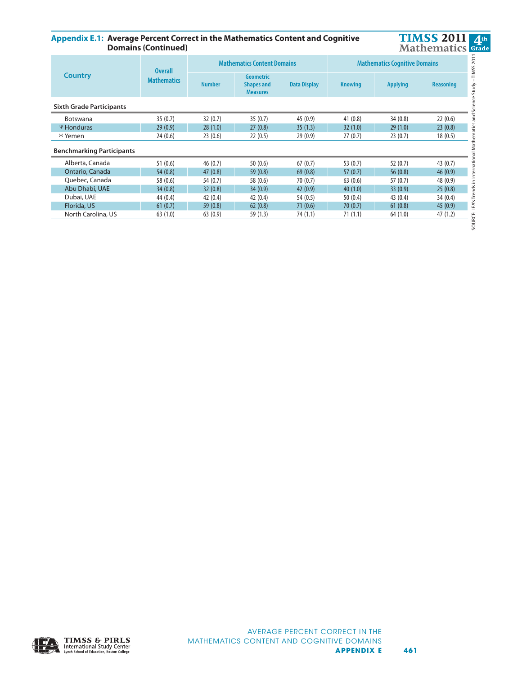**Appendix E.1: Average Percent Correct in the Mathematics Content and Cognitive Domains (Continued) Appendix E.1: Average Percent Correct in the Mathematics Content and Cognitive Domains (Continued)**



| <b>Country</b>                   | <b>Overall</b>     |                                                                           | <b>Mathematics Content Domains</b> |                     | <b>Mathematics Cognitive Domains</b> |                 |                  |  |
|----------------------------------|--------------------|---------------------------------------------------------------------------|------------------------------------|---------------------|--------------------------------------|-----------------|------------------|--|
|                                  | <b>Mathematics</b> | <b>Geometric</b><br><b>Number</b><br><b>Shapes and</b><br><b>Measures</b> |                                    | <b>Data Display</b> | <b>Knowing</b>                       | <b>Applying</b> | <b>Reasoning</b> |  |
| <b>Sixth Grade Participants</b>  |                    |                                                                           |                                    |                     |                                      |                 |                  |  |
| <b>Botswana</b>                  | 35(0.7)            | 32(0.7)                                                                   | 35(0.7)                            | 45 (0.9)            | 41(0.8)                              | 34(0.8)         | 22(0.6)          |  |
| <b><i>Ψ</i></b> Honduras         | 29(0.9)            | 28(1.0)                                                                   | 27(0.8)                            | 35(1.3)             | 32(1.0)                              | 29(1.0)         | 23(0.8)          |  |
| <b><i>Ж</i></b> Yemen            | 24(0.6)            | 23(0.6)                                                                   | 22(0.5)                            | 29(0.9)             | 27(0.7)                              | 23(0.7)         | 18(0.5)          |  |
| <b>Benchmarking Participants</b> |                    |                                                                           |                                    |                     |                                      |                 |                  |  |
| Alberta, Canada                  | 51(0.6)            | 46(0.7)                                                                   | 50(0.6)                            | 67(0.7)             | 53 $(0.7)$                           | 52(0.7)         | 43(0.7)          |  |
| Ontario, Canada                  | 54(0.8)            | 47(0.8)                                                                   | 59(0.8)                            | 69(0.8)             | 57(0.7)                              | 56(0.8)         | 46(0.9)          |  |
| Quebec, Canada                   | 58 (0.6)           | 54 (0.7)                                                                  | 58 (0.6)                           | 70(0.7)             | 63(0.6)                              | 57(0.7)         | 48 (0.9)         |  |
| Abu Dhabi, UAE                   | 34(0.8)            | 32(0.8)                                                                   | 34(0.9)                            | 42(0.9)             | 40(1.0)                              | 33(0.9)         | 25(0.8)          |  |
| Dubai, UAE                       | 44 (0.4)           | 42(0.4)                                                                   | 42(0.4)                            | 54 (0.5)            | 50(0.4)                              | 43(0.4)         | 34(0.4)          |  |
| Florida, US                      | 61(0.7)            | 59(0.8)                                                                   | 62(0.8)                            | 71(0.6)             | 70(0.7)                              | 61(0.8)         | 45(0.9)          |  |
| North Carolina, US               | 63(1.0)            | 63(0.9)                                                                   | 59 (1.3)                           | 74 (1.1)            | 71(1.1)                              | 64(1.0)         | 47(1.2)          |  |
|                                  |                    |                                                                           |                                    |                     |                                      |                 |                  |  |

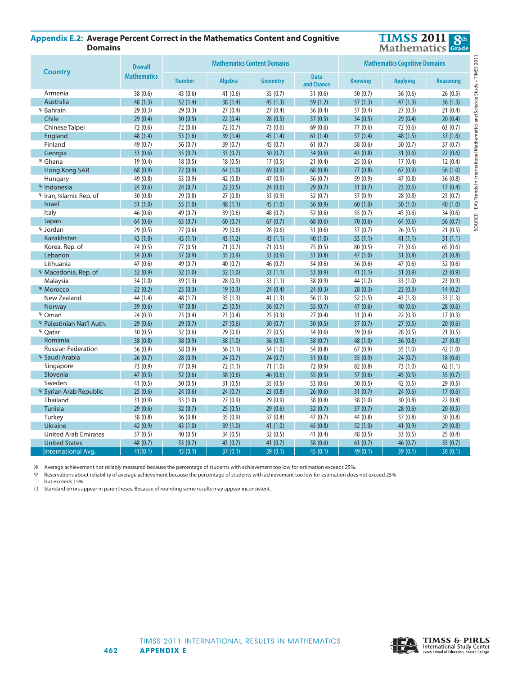## **Appendix E.2: Average Percent Correct in the Mathematics Content and Cognitive Comains**



| <b>Country</b>                       | <b>Overall</b>     |               | <b>Mathematics Content Domains</b> |                 | <b>Mathematics Cognitive Domains</b> |                |                 |                                    |
|--------------------------------------|--------------------|---------------|------------------------------------|-----------------|--------------------------------------|----------------|-----------------|------------------------------------|
|                                      | <b>Mathematics</b> | <b>Number</b> | <b>Algebra</b>                     | <b>Geometry</b> | <b>Data</b><br>and Chance            | <b>Knowing</b> | <b>Applying</b> | $-$ TIMSS 2017<br><b>Reasoning</b> |
| Armenia                              | 38 (0.6)           | 43 (0.6)      | 41 $(0.6)$                         | 35(0.7)         | 31(0.6)                              | 50(0.7)        | 36(0.6)         | Study<br>26(0.5)                   |
| Australia                            | 48 (1.3)           | 52(1.4)       | 38(1.4)                            | 45(1.3)         | 59 (1.2)                             | 57(1.3)        | 47(1.3)         | Science<br>36(1.3)                 |
| Ψ Bahrain                            | 29(0.3)            | 29(0.3)       | 27(0.4)                            | 27(0.4)         | 36(0.4)                              | 37(0.4)        | 27(0.3)         | 21(0.4)                            |
| Chile                                | 29(0.4)            | 30(0.5)       | 22(0.4)                            | 28(0.5)         | 37(0.5)                              | 34(0.5)        | 29(0.4)         | 20(0.4)                            |
| Chinese Taipei                       | 72(0.6)            | 72 (0.6)      | 72(0.7)                            | 73 (0.6)        | 69 (0.6)                             | 77(0.6)        | 72 (0.6)        | 63(0.7)                            |
| England                              | 48 (1.4)           | 53(1.6)       | 39(1.4)                            | 45(1.4)         | 61(1.4)                              | 57(1.4)        | 48 (1.5)        | nal Mathemat<br>37(1.6)            |
| Finland                              | 49 (0.7)           | 56 (0.7)      | 39 (0.7)                           | 45 (0.7)        | 61(0.7)                              | 58 (0.6)       | 50(0.7)         | 37(0.7)                            |
| Georgia                              | 33(0.6)            | 35(0.7)       | 33(0.7)                            | 30(0.7)         | 34(0.6)                              | 43(0.8)        | 31(0.6)         | 22(0.6)                            |
| <b><sup>K</sup></b> Ghana            | 19(0.4)            | 18(0.5)       | 18(0.5)                            | 17(0.5)         | 21(0.4)                              | 25(0.6)        | 17(0.4)         | 12(0.4)                            |
| Hong Kong SAR                        | 68 (0.9)           | 72 (0.9)      | 64(1.0)                            | 69 (0.9)        | 68(0.8)                              | 77(0.8)        | 67(0.9)         | 56(1.0)                            |
| Hungary                              | 49 (0.8)           | 53 (0.9)      | 42 (0.8)                           | 47 (0.9)        | 56 (0.7)                             | 59 (0.9)       | 47 (0.8)        | 36(0.8)<br>$\equiv$                |
| Ψ Indonesia                          | 24(0.6)            | 24(0.7)       | 22(0.5)                            | 24(0.6)         | 29(0.7)                              | 31(0.7)        | 23(0.6)         | 17(0.4)                            |
| $\Psi$ Iran, Islamic Rep. of         | 30(0.8)            | 29(0.8)       | 27(0.8)                            | 33 (0.9)        | 32(0.7)                              | 37 (0.9)       | 28(0.8)         | <b>IEA's Trends</b><br>23(0.7)     |
| <b>Israel</b>                        | 51(1.0)            | 55(1.0)       | 48 (1.1)                           | 45 (1.0)        | 56 (0.9)                             | 60(1.0)        | 50(1.0)         | 40(1.0)                            |
| Italy                                | 46(0.6)            | 49 (0.7)      | 39 (0.6)                           | 48 (0.7)        | 52 (0.6)                             | 55 (0.7)       | 45(0.6)         | 34(0.6)                            |
| Japan                                | 64(0.6)            | 63(0.7)       | 60(0.7)                            | 67(0.7)         | 68 (0.6)                             | 70(0.6)        | 64(0.6)         | SOURCE:<br>56(0.7)                 |
| Ψ Jordan                             | 29(0.5)            | 27(0.6)       | 29(0.6)                            | 28(0.6)         | 31(0.6)                              | 37(0.7)        | 26(0.5)         | 21(0.5)                            |
| Kazakhstan                           | 43 (1.0)           | 43(1.1)       | 43 (1.2)                           | 43(1.1)         | 40(1.0)                              | 53(1.1)        | 41(1.1)         | 31(1.1)                            |
| Korea, Rep. of                       | 74 (0.5)           | 77(0.5)       | 71(0.7)                            | 71(0.6)         | 75(0.5)                              | 80(0.5)        | 73 (0.6)        | 65(0.6)                            |
| Lebanon                              | 34(0.8)            | 37(0.9)       | 35(0.9)                            | 33(0.9)         | 31(0.8)                              | 47(1.0)        | 31(0.8)         | 21(0.8)                            |
| Lithuania                            | 47 (0.6)           | 49 (0.7)      | 40 (0.7)                           | 46 (0.7)        | 54 $(0.6)$                           | 56 (0.6)       | 47 (0.6)        | 32(0.6)                            |
| Ψ Macedonia, Rep. of                 | 32(0.9)            | 32(1.0)       | 32(1.0)                            | 33(1.1)         | 33(0.9)                              | 41(1.1)        | 31(0.9)         | 23(0.9)                            |
| Malaysia                             | 34(1.0)            | 39(1.3)       | 28(0.9)                            | 33(1.1)         | 38 (0.9)                             | 44 (1.2)       | 33 (1.0)        | 23(0.9)                            |
| <b><i>Ж</i></b> Могоссо              | 22(0.2)            | 23(0.3)       | 19(0.3)                            | 24(0.4)         | 24(0.3)                              | 28(0.3)        | 22(0.3)         | 14(0.2)                            |
| New Zealand                          | 44 (1.4)           | 48 (1.7)      | 35(1.3)                            | 41 (1.3)        | 56(1.3)                              | 52(1.5)        | 43 (1.3)        | 33(1.3)                            |
| Norway                               | 39 (0.6)           | 47(0.8)       | 25(0.5)                            | 36(0.7)         | 55(0.7)                              | 47(0.6)        | 40(0.6)         | 28(0.6)                            |
| $\Psi$ Oman                          | 24(0.3)            | 23(0.4)       | 23(0.4)                            | 25(0.3)         | 27(0.4)                              | 31(0.4)        | 22(0.3)         | 17(0.3)                            |
| Ψ Palestinian Nat'l Auth.            | 29(0.6)            | 29(0.7)       | 27(0.6)                            | 30(0.7)         | 30(0.5)                              | 37(0.7)        | 27(0.5)         | 20(0.6)                            |
| $\Psi$ Qatar                         | 30(0.5)            | 32(0.6)       | 29(0.6)                            | 27(0.5)         | 34(0.6)                              | 39 (0.6)       | 28(0.5)         | 21(0.5)                            |
| Romania                              | 38(0.8)            | 38(0.9)       | 38(1.0)                            | 36(0.9)         | 38(0.7)                              | 48 (1.0)       | 36(0.8)         | 27(0.8)                            |
| <b>Russian Federation</b>            | 56 (0.9)           | 58 (0.9)      | 56(1.1)                            | 54 (1.0)        | 54 (0.8)                             | 67(0.9)        | 55 (1.0)        | 42 (1.0)                           |
| Ψ Saudi Arabia                       | 26(0.7)            | 28(0.9)       | 24(0.7)                            | 24(0.7)         | 31(0.8)                              | 35(0.9)        | 24(0.7)         | 18(0.6)                            |
| Singapore                            | 73 (0.9)           | 77 (0.9)      | 72(1.1)                            | 71(1.0)         | 72 (0.9)                             | 82 (0.8)       | 73 (1.0)        | 62(1.1)                            |
| Slovenia                             | 47(0.5)            | 52(0.6)       | 38(0.6)                            | 46(0.6)         | 55(0.5)                              | 57(0.6)        | 45(0.5)         | 35(0.7)                            |
| Sweden                               | 41(0.5)            | 50(0.5)       | 31(0.5)                            | 35(0.5)         | 53 (0.6)                             | 50 $(0.5)$     | 42 (0.5)        | 29(0.5)                            |
| <b><i>W</i></b> Syrian Arab Republic | 25(0.6)            | 24(0.6)       | 24(0.7)                            | 25(0.8)         | 26(0.6)                              | 31(0.7)        | 24(0.6)         | 17(0.6)                            |
| Thailand                             | 31(0.9)            | 33(1.0)       | 27(0.9)                            | 29 (0.9)        | 38(0.8)                              | 38 (1.0)       | 30(0.8)         | 22(0.8)                            |
| <b>Tunisia</b>                       | 29(0.6)            | 32(0.7)       | 25(0.5)                            | 29(0.6)         | 32(0.7)                              | 37(0.7)        | 28(0.6)         | 20(0.5)                            |
| Turkey                               | 38(0.8)            | 36(0.8)       | 35(0.9)                            | 37(0.8)         | 47(0.7)                              | 44 (0.8)       | 37(0.8)         | 30(0.8)                            |
| <b>Ukraine</b>                       | 42 (0.9)           | 43(1.0)       | 39(1.0)                            | 41(1.0)         | 45(0.8)                              | 52(1.0)        | 41 (0.9)        | 29(0.8)                            |
| <b>United Arab Emirates</b>          | 37(0.5)            | 40(0.5)       | 34 (0.5)                           | 32(0.5)         | 41(0.4)                              | 48 (0.5)       | 33(0.5)         | 25(0.4)                            |
| <b>United States</b>                 | 48 (0.7)           | 53 $(0.7)$    | 43 (0.7)                           | 41 $(0.7)$      | 58 (0.6)                             | 61(0.7)        | 46(0.7)         | 35(0.7)                            |
| <b>International Avg.</b>            | 41(0.1)            | 43(0.1)       | 37(0.1)                            | 39(0.1)         | 45 $(0.1)$                           | 49(0.1)        | 39(0.1)         | 30(0.1)                            |

Ж Average achievement not reliably measured because the percentage of students with achievement too low for estimation exceeds 25%.

Reservations about reliability of average achievement because the percentage of students with achievement too low for estimation does not exceed 25% but exceeds 15%.

( ) Standard errors appear in parentheses. Because of rounding some results may appear inconsistent.